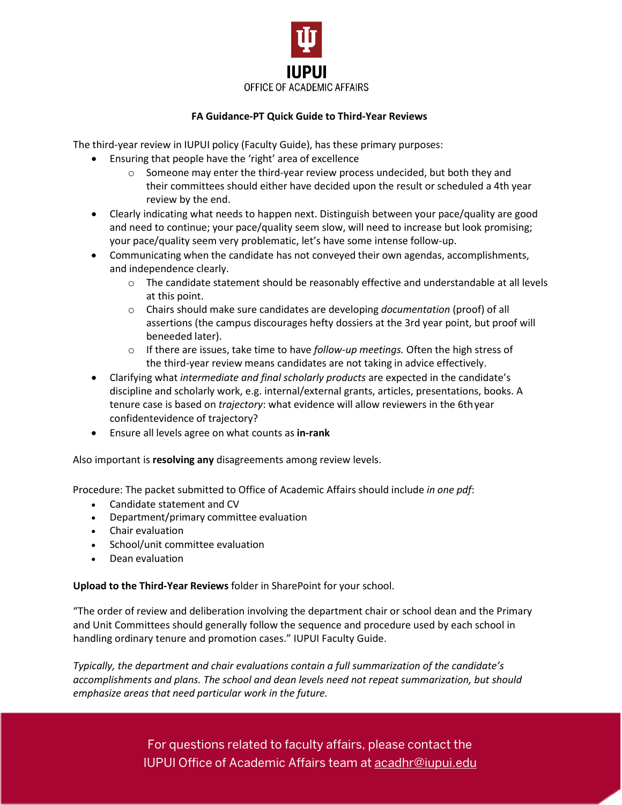

## **FA Guidance-PT Quick Guide to Third-Year Reviews**

The third-year review in IUPUI policy (Faculty Guide), has these primary purposes:

- Ensuring that people have the 'right' area of excellence
	- $\circ$  Someone may enter the third-year review process undecided, but both they and their committees should either have decided upon the result or scheduled a 4th year review by the end.
- Clearly indicating what needs to happen next. Distinguish between your pace/quality are good and need to continue; your pace/quality seem slow, will need to increase but look promising; your pace/quality seem very problematic, let's have some intense follow-up.
- Communicating when the candidate has not conveyed their own agendas, accomplishments, and independence clearly.
	- o The candidate statement should be reasonably effective and understandable at all levels at this point.
	- o Chairs should make sure candidates are developing *documentation* (proof) of all assertions (the campus discourages hefty dossiers at the 3rd year point, but proof will beneeded later).
	- o If there are issues, take time to have *follow-up meetings.* Often the high stress of the third-year review means candidates are not taking in advice effectively.
- Clarifying what *intermediate and final scholarly products* are expected in the candidate's discipline and scholarly work, e.g. internal/external grants, articles, presentations, books. A tenure case is based on *trajectory*: what evidence will allow reviewers in the 6thyear confidentevidence of trajectory?
- Ensure all levels agree on what counts as **in-rank**

Also important is **resolving any** disagreements among review levels.

Procedure: The packet submitted to Office of Academic Affairs should include *in one pdf*:

- Candidate statement and CV
- Department/primary committee evaluation
- Chair evaluation
- School/unit committee evaluation
- Dean evaluation

**Upload to the Third-Year Reviews** folder in SharePoint for your school.

"The order of review and deliberation involving the department chair or school dean and the Primary and Unit Committees should generally follow the sequence and procedure used by each school in handling ordinary tenure and promotion cases." IUPUI Faculty Guide.

*Typically, the department and chair evaluations contain a full summarization of the candidate's accomplishments and plans. The school and dean levels need not repeat summarization, but should emphasize areas that need particular work in the future.*

> For questions related to faculty affairs, please contact the IUPUI Office of Academic Affairs team at [acadhr@iupui.edu](mailto:acadhr@iupui.edu)